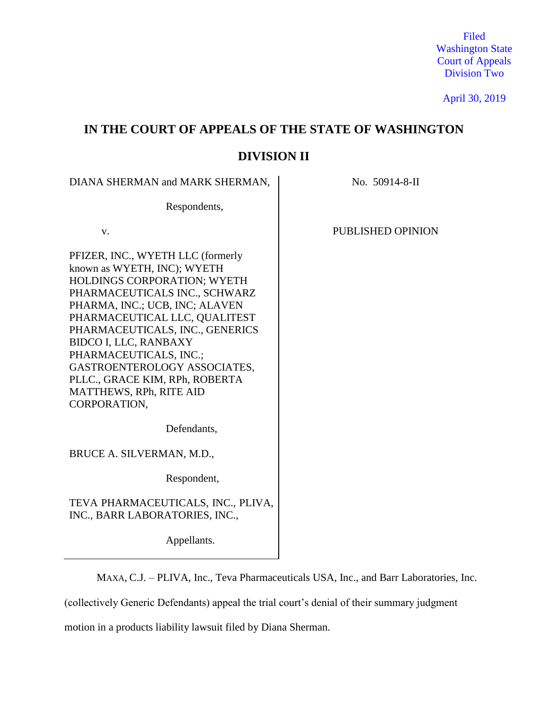Filed Washington State Court of Appeals Division Two

April 30, 2019

# **IN THE COURT OF APPEALS OF THE STATE OF WASHINGTON**

# **DIVISION II**

DIANA SHERMAN and MARK SHERMAN, No. 50914-8-II

Respondents,

PFIZER, INC., WYETH LLC (formerly known as WYETH, INC); WYETH HOLDINGS CORPORATION; WYETH PHARMACEUTICALS INC., SCHWARZ PHARMA, INC.; UCB, INC; ALAVEN PHARMACEUTICAL LLC, QUALITEST PHARMACEUTICALS, INC., GENERICS BIDCO I, LLC, RANBAXY PHARMACEUTICALS, INC.; GASTROENTEROLOGY ASSOCIATES, PLLC., GRACE KIM, RPh, ROBERTA MATTHEWS, RPh, RITE AID CORPORATION,

v. PUBLISHED OPINION

Defendants,

BRUCE A. SILVERMAN, M.D.,

Respondent,

TEVA PHARMACEUTICALS, INC., PLIVA, INC., BARR LABORATORIES, INC.,

Appellants.

MAXA, C.J. – PLIVA, Inc., Teva Pharmaceuticals USA, Inc., and Barr Laboratories, Inc.

(collectively Generic Defendants) appeal the trial court's denial of their summary judgment

motion in a products liability lawsuit filed by Diana Sherman.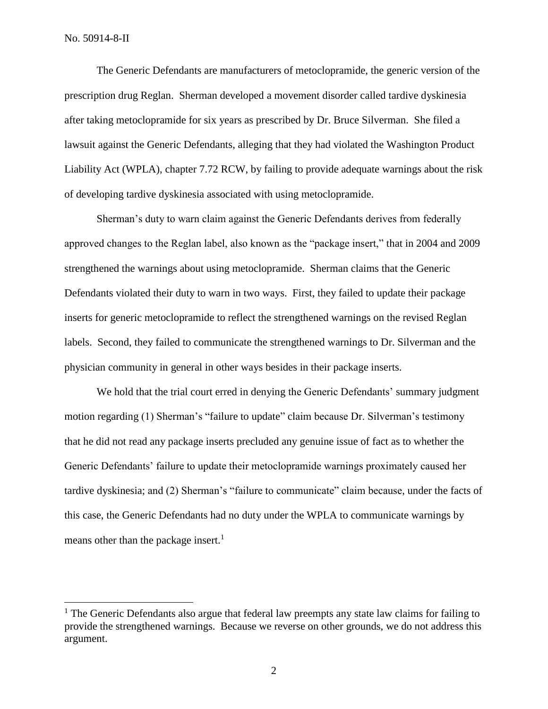$\overline{a}$ 

The Generic Defendants are manufacturers of metoclopramide, the generic version of the prescription drug Reglan. Sherman developed a movement disorder called tardive dyskinesia after taking metoclopramide for six years as prescribed by Dr. Bruce Silverman. She filed a lawsuit against the Generic Defendants, alleging that they had violated the Washington Product Liability Act (WPLA), chapter 7.72 RCW, by failing to provide adequate warnings about the risk of developing tardive dyskinesia associated with using metoclopramide.

Sherman's duty to warn claim against the Generic Defendants derives from federally approved changes to the Reglan label, also known as the "package insert," that in 2004 and 2009 strengthened the warnings about using metoclopramide. Sherman claims that the Generic Defendants violated their duty to warn in two ways. First, they failed to update their package inserts for generic metoclopramide to reflect the strengthened warnings on the revised Reglan labels. Second, they failed to communicate the strengthened warnings to Dr. Silverman and the physician community in general in other ways besides in their package inserts.

We hold that the trial court erred in denying the Generic Defendants' summary judgment motion regarding (1) Sherman's "failure to update" claim because Dr. Silverman's testimony that he did not read any package inserts precluded any genuine issue of fact as to whether the Generic Defendants' failure to update their metoclopramide warnings proximately caused her tardive dyskinesia; and (2) Sherman's "failure to communicate" claim because, under the facts of this case, the Generic Defendants had no duty under the WPLA to communicate warnings by means other than the package insert.<sup>1</sup>

 $<sup>1</sup>$  The Generic Defendants also argue that federal law preempts any state law claims for failing to</sup> provide the strengthened warnings. Because we reverse on other grounds, we do not address this argument.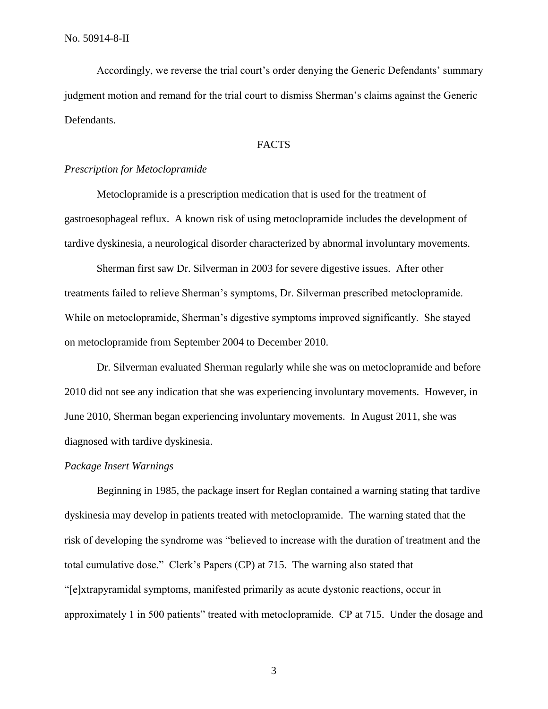Accordingly, we reverse the trial court's order denying the Generic Defendants' summary judgment motion and remand for the trial court to dismiss Sherman's claims against the Generic Defendants.

## FACTS

## *Prescription for Metoclopramide*

Metoclopramide is a prescription medication that is used for the treatment of gastroesophageal reflux. A known risk of using metoclopramide includes the development of tardive dyskinesia, a neurological disorder characterized by abnormal involuntary movements.

Sherman first saw Dr. Silverman in 2003 for severe digestive issues. After other treatments failed to relieve Sherman's symptoms, Dr. Silverman prescribed metoclopramide. While on metoclopramide, Sherman's digestive symptoms improved significantly. She stayed on metoclopramide from September 2004 to December 2010.

Dr. Silverman evaluated Sherman regularly while she was on metoclopramide and before 2010 did not see any indication that she was experiencing involuntary movements. However, in June 2010, Sherman began experiencing involuntary movements. In August 2011, she was diagnosed with tardive dyskinesia.

#### *Package Insert Warnings*

Beginning in 1985, the package insert for Reglan contained a warning stating that tardive dyskinesia may develop in patients treated with metoclopramide. The warning stated that the risk of developing the syndrome was "believed to increase with the duration of treatment and the total cumulative dose." Clerk's Papers (CP) at 715. The warning also stated that "[e]xtrapyramidal symptoms, manifested primarily as acute dystonic reactions, occur in approximately 1 in 500 patients" treated with metoclopramide. CP at 715. Under the dosage and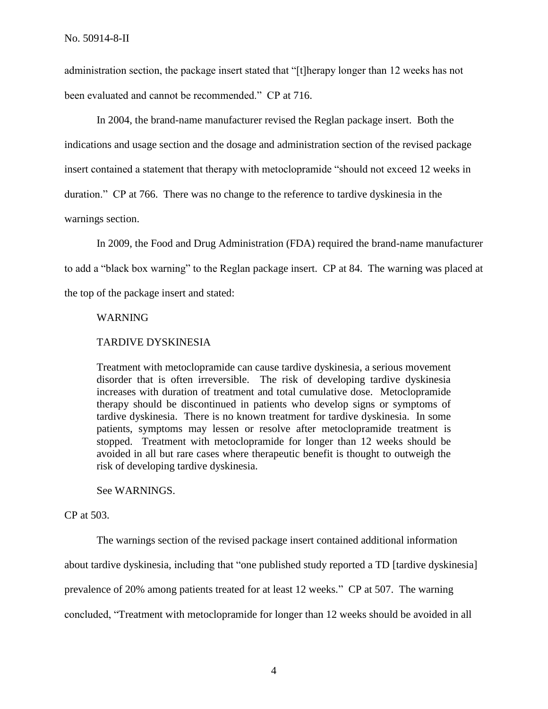administration section, the package insert stated that "[t]herapy longer than 12 weeks has not been evaluated and cannot be recommended." CP at 716.

In 2004, the brand-name manufacturer revised the Reglan package insert. Both the indications and usage section and the dosage and administration section of the revised package insert contained a statement that therapy with metoclopramide "should not exceed 12 weeks in duration." CP at 766. There was no change to the reference to tardive dyskinesia in the warnings section.

In 2009, the Food and Drug Administration (FDA) required the brand-name manufacturer to add a "black box warning" to the Reglan package insert. CP at 84. The warning was placed at the top of the package insert and stated:

#### WARNING

## TARDIVE DYSKINESIA

Treatment with metoclopramide can cause tardive dyskinesia, a serious movement disorder that is often irreversible. The risk of developing tardive dyskinesia increases with duration of treatment and total cumulative dose. Metoclopramide therapy should be discontinued in patients who develop signs or symptoms of tardive dyskinesia. There is no known treatment for tardive dyskinesia. In some patients, symptoms may lessen or resolve after metoclopramide treatment is stopped. Treatment with metoclopramide for longer than 12 weeks should be avoided in all but rare cases where therapeutic benefit is thought to outweigh the risk of developing tardive dyskinesia.

See WARNINGS.

### CP at 503.

The warnings section of the revised package insert contained additional information about tardive dyskinesia, including that "one published study reported a TD [tardive dyskinesia] prevalence of 20% among patients treated for at least 12 weeks." CP at 507. The warning concluded, "Treatment with metoclopramide for longer than 12 weeks should be avoided in all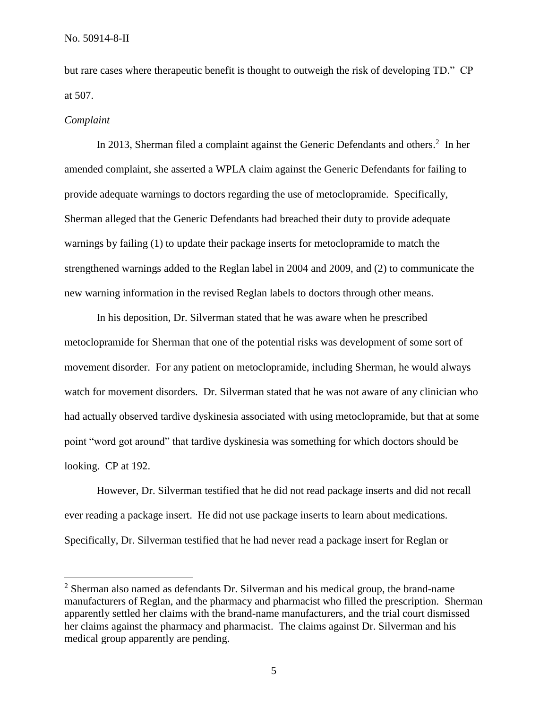but rare cases where therapeutic benefit is thought to outweigh the risk of developing TD." CP at 507.

#### *Complaint*

 $\overline{a}$ 

In 2013, Sherman filed a complaint against the Generic Defendants and others.<sup>2</sup> In her amended complaint, she asserted a WPLA claim against the Generic Defendants for failing to provide adequate warnings to doctors regarding the use of metoclopramide. Specifically, Sherman alleged that the Generic Defendants had breached their duty to provide adequate warnings by failing (1) to update their package inserts for metoclopramide to match the strengthened warnings added to the Reglan label in 2004 and 2009, and (2) to communicate the new warning information in the revised Reglan labels to doctors through other means.

In his deposition, Dr. Silverman stated that he was aware when he prescribed metoclopramide for Sherman that one of the potential risks was development of some sort of movement disorder. For any patient on metoclopramide, including Sherman, he would always watch for movement disorders. Dr. Silverman stated that he was not aware of any clinician who had actually observed tardive dyskinesia associated with using metoclopramide, but that at some point "word got around" that tardive dyskinesia was something for which doctors should be looking. CP at 192.

However, Dr. Silverman testified that he did not read package inserts and did not recall ever reading a package insert. He did not use package inserts to learn about medications. Specifically, Dr. Silverman testified that he had never read a package insert for Reglan or

<sup>&</sup>lt;sup>2</sup> Sherman also named as defendants Dr. Silverman and his medical group, the brand-name manufacturers of Reglan, and the pharmacy and pharmacist who filled the prescription. Sherman apparently settled her claims with the brand-name manufacturers, and the trial court dismissed her claims against the pharmacy and pharmacist. The claims against Dr. Silverman and his medical group apparently are pending.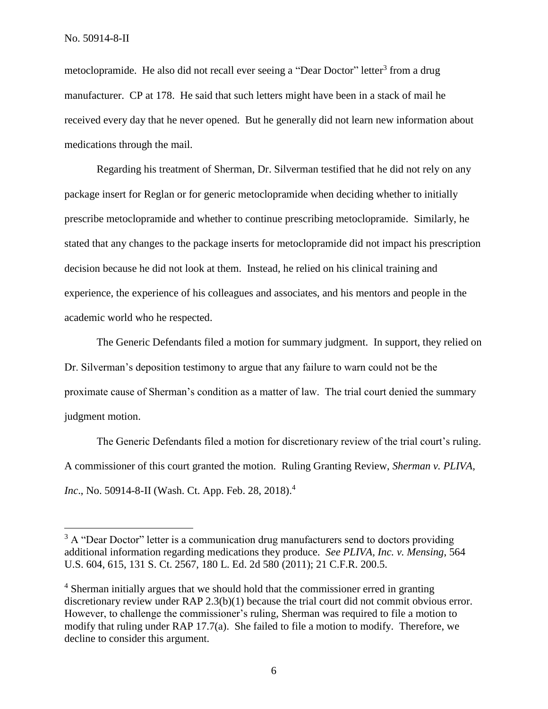$\overline{a}$ 

metoclopramide. He also did not recall ever seeing a "Dear Doctor" letter<sup>3</sup> from a drug manufacturer. CP at 178. He said that such letters might have been in a stack of mail he received every day that he never opened. But he generally did not learn new information about medications through the mail.

Regarding his treatment of Sherman, Dr. Silverman testified that he did not rely on any package insert for Reglan or for generic metoclopramide when deciding whether to initially prescribe metoclopramide and whether to continue prescribing metoclopramide. Similarly, he stated that any changes to the package inserts for metoclopramide did not impact his prescription decision because he did not look at them. Instead, he relied on his clinical training and experience, the experience of his colleagues and associates, and his mentors and people in the academic world who he respected.

The Generic Defendants filed a motion for summary judgment. In support, they relied on Dr. Silverman's deposition testimony to argue that any failure to warn could not be the proximate cause of Sherman's condition as a matter of law. The trial court denied the summary judgment motion.

The Generic Defendants filed a motion for discretionary review of the trial court's ruling. A commissioner of this court granted the motion. Ruling Granting Review, *Sherman v. PLIVA, Inc*., No. 50914-8-II (Wash. Ct. App. Feb. 28, 2018). 4

 $3 A$  "Dear Doctor" letter is a communication drug manufacturers send to doctors providing additional information regarding medications they produce. *See PLIVA, Inc. v. Mensing*, 564 U.S. 604, 615, 131 S. Ct. 2567, 180 L. Ed. 2d 580 (2011); 21 C.F.R. 200.5.

<sup>&</sup>lt;sup>4</sup> Sherman initially argues that we should hold that the commissioner erred in granting discretionary review under RAP 2.3(b)(1) because the trial court did not commit obvious error. However, to challenge the commissioner's ruling, Sherman was required to file a motion to modify that ruling under RAP 17.7(a). She failed to file a motion to modify. Therefore, we decline to consider this argument.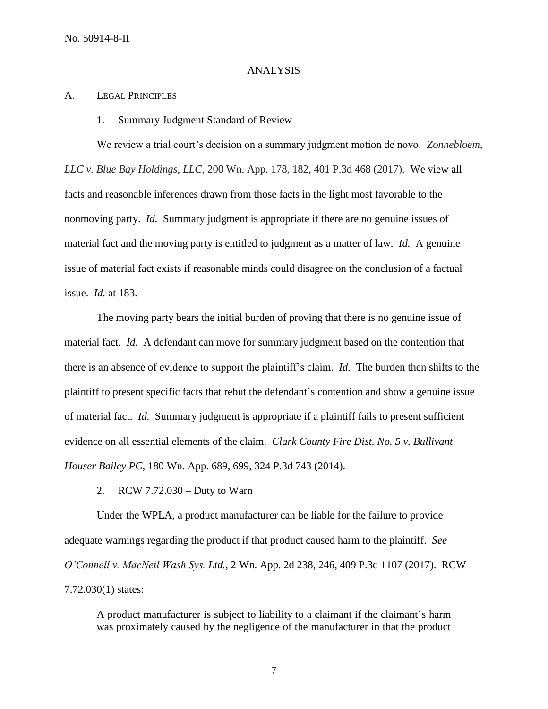## ANALYSIS

## A. LEGAL PRINCIPLES

1. Summary Judgment Standard of Review

We review a trial court's decision on a summary judgment motion de novo. *Zonnebloem, LLC v. Blue Bay Holdings, LLC*, 200 Wn. App. 178, 182, 401 P.3d 468 (2017). We view all facts and reasonable inferences drawn from those facts in the light most favorable to the nonmoving party. *Id.* Summary judgment is appropriate if there are no genuine issues of material fact and the moving party is entitled to judgment as a matter of law. *Id.* A genuine issue of material fact exists if reasonable minds could disagree on the conclusion of a factual issue. *Id.* at 183.

The moving party bears the initial burden of proving that there is no genuine issue of material fact. *Id.* A defendant can move for summary judgment based on the contention that there is an absence of evidence to support the plaintiff's claim. *Id.* The burden then shifts to the plaintiff to present specific facts that rebut the defendant's contention and show a genuine issue of material fact. *Id.* Summary judgment is appropriate if a plaintiff fails to present sufficient evidence on all essential elements of the claim. *Clark County Fire Dist. No. 5 v. Bullivant Houser Bailey PC*, 180 Wn. App. 689, 699, 324 P.3d 743 (2014).

2. RCW 7.72.030 – Duty to Warn

Under the WPLA, a product manufacturer can be liable for the failure to provide adequate warnings regarding the product if that product caused harm to the plaintiff. *See O'Connell v. MacNeil Wash Sys. Ltd.*, 2 Wn. App. 2d 238, 246, 409 P.3d 1107 (2017). RCW 7.72.030(1) states:

A product manufacturer is subject to liability to a claimant if the claimant's harm was proximately caused by the negligence of the manufacturer in that the product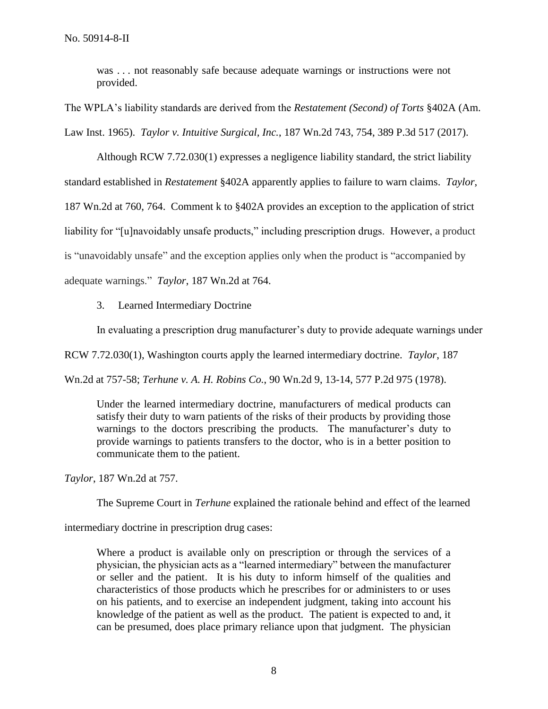was . . . not reasonably safe because adequate warnings or instructions were not provided.

The WPLA's liability standards are derived from the *Restatement (Second) of Torts* §402A (Am. Law Inst. 1965). *Taylor v. Intuitive Surgical, Inc.*, 187 Wn.2d 743, 754, 389 P.3d 517 (2017).

Although RCW 7.72.030(1) expresses a negligence liability standard, the strict liability standard established in *Restatement* §402A apparently applies to failure to warn claims. *Taylor*, 187 Wn.2d at 760, 764. Comment k to §402A provides an exception to the application of strict liability for "[u]navoidably unsafe products," including prescription drugs. However, a product is "unavoidably unsafe" and the exception applies only when the product is "accompanied by adequate warnings." *Taylor*, 187 Wn.2d at 764.

3. Learned Intermediary Doctrine

In evaluating a prescription drug manufacturer's duty to provide adequate warnings under

RCW 7.72.030(1), Washington courts apply the learned intermediary doctrine. *Taylor*, 187

Wn.2d at 757-58; *Terhune v. A. H. Robins Co.*, 90 Wn.2d 9, 13-14, 577 P.2d 975 (1978).

Under the learned intermediary doctrine, manufacturers of medical products can satisfy their duty to warn patients of the risks of their products by providing those warnings to the doctors prescribing the products. The manufacturer's duty to provide warnings to patients transfers to the doctor, who is in a better position to communicate them to the patient.

*Taylor*, 187 Wn.2d at 757.

The Supreme Court in *Terhune* explained the rationale behind and effect of the learned

intermediary doctrine in prescription drug cases:

Where a product is available only on prescription or through the services of a physician, the physician acts as a "learned intermediary" between the manufacturer or seller and the patient. It is his duty to inform himself of the qualities and characteristics of those products which he prescribes for or administers to or uses on his patients, and to exercise an independent judgment, taking into account his knowledge of the patient as well as the product. The patient is expected to and, it can be presumed, does place primary reliance upon that judgment. The physician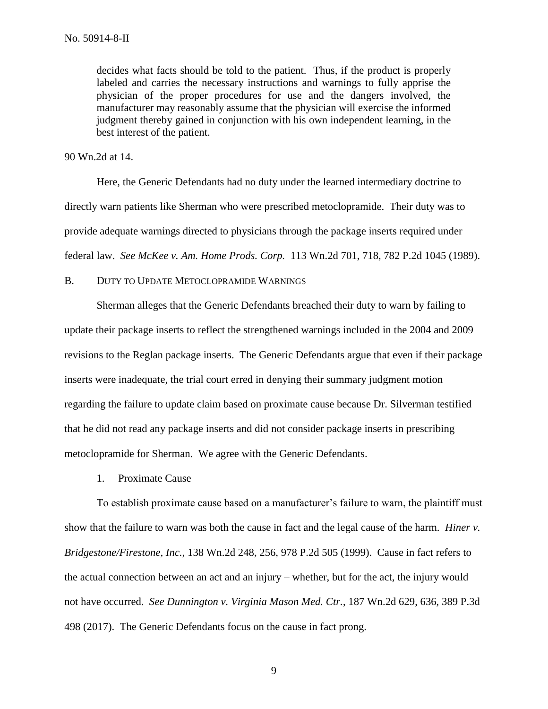decides what facts should be told to the patient. Thus, if the product is properly labeled and carries the necessary instructions and warnings to fully apprise the physician of the proper procedures for use and the dangers involved, the manufacturer may reasonably assume that the physician will exercise the informed judgment thereby gained in conjunction with his own independent learning, in the best interest of the patient.

#### 90 Wn.2d at 14.

Here, the Generic Defendants had no duty under the learned intermediary doctrine to directly warn patients like Sherman who were prescribed metoclopramide. Their duty was to provide adequate warnings directed to physicians through the package inserts required under federal law. *See McKee v. Am. Home Prods. Corp.* 113 Wn.2d 701, 718, 782 P.2d 1045 (1989).

# B. DUTY TO UPDATE METOCLOPRAMIDE WARNINGS

Sherman alleges that the Generic Defendants breached their duty to warn by failing to update their package inserts to reflect the strengthened warnings included in the 2004 and 2009 revisions to the Reglan package inserts. The Generic Defendants argue that even if their package inserts were inadequate, the trial court erred in denying their summary judgment motion regarding the failure to update claim based on proximate cause because Dr. Silverman testified that he did not read any package inserts and did not consider package inserts in prescribing metoclopramide for Sherman. We agree with the Generic Defendants.

1. Proximate Cause

To establish proximate cause based on a manufacturer's failure to warn, the plaintiff must show that the failure to warn was both the cause in fact and the legal cause of the harm. *Hiner v. Bridgestone/Firestone, Inc.*, 138 Wn.2d 248, 256, 978 P.2d 505 (1999). Cause in fact refers to the actual connection between an act and an injury – whether, but for the act, the injury would not have occurred. *See Dunnington v. Virginia Mason Med. Ctr.*, 187 Wn.2d 629, 636, 389 P.3d 498 (2017). The Generic Defendants focus on the cause in fact prong.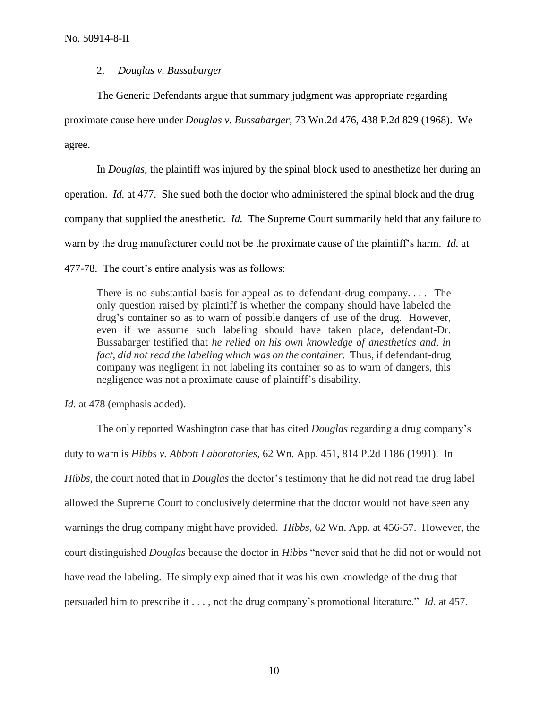# 2. *Douglas v. Bussabarger*

The Generic Defendants argue that summary judgment was appropriate regarding

proximate cause here under *Douglas v. Bussabarger*, 73 Wn.2d 476, 438 P.2d 829 (1968). We

agree.

In *Douglas*, the plaintiff was injured by the spinal block used to anesthetize her during an operation. *Id.* at 477. She sued both the doctor who administered the spinal block and the drug company that supplied the anesthetic. *Id.* The Supreme Court summarily held that any failure to warn by the drug manufacturer could not be the proximate cause of the plaintiff's harm. *Id.* at 477-78. The court's entire analysis was as follows:

There is no substantial basis for appeal as to defendant-drug company. . . . The only question raised by plaintiff is whether the company should have labeled the drug's container so as to warn of possible dangers of use of the drug. However, even if we assume such labeling should have taken place, defendant-Dr. Bussabarger testified that *he relied on his own knowledge of anesthetics and, in fact, did not read the labeling which was on the container*. Thus, if defendant-drug company was negligent in not labeling its container so as to warn of dangers, this negligence was not a proximate cause of plaintiff's disability.

*Id.* at 478 (emphasis added).

The only reported Washington case that has cited *Douglas* regarding a drug company's duty to warn is *Hibbs v. Abbott Laboratories*, 62 Wn. App. 451, 814 P.2d 1186 (1991). In *Hibbs*, the court noted that in *Douglas* the doctor's testimony that he did not read the drug label allowed the Supreme Court to conclusively determine that the doctor would not have seen any warnings the drug company might have provided. *Hibbs*, 62 Wn. App. at 456-57. However, the court distinguished *Douglas* because the doctor in *Hibbs* "never said that he did not or would not have read the labeling. He simply explained that it was his own knowledge of the drug that persuaded him to prescribe it . . . , not the drug company's promotional literature." *Id.* at 457.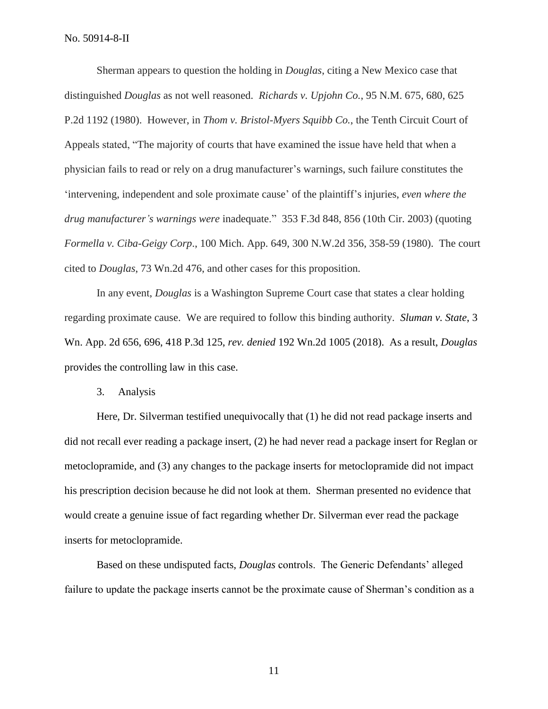Sherman appears to question the holding in *Douglas*, citing a New Mexico case that distinguished *Douglas* as not well reasoned. *Richards v. Upjohn Co.*, 95 N.M. 675, 680, 625 P.2d 1192 (1980). However, in *Thom v. Bristol-Myers Squibb Co.*, the Tenth Circuit Court of Appeals stated, "The majority of courts that have examined the issue have held that when a physician fails to read or rely on a drug manufacturer's warnings, such failure constitutes the 'intervening, independent and sole proximate cause' of the plaintiff's injuries, *even where the drug manufacturer's warnings were* inadequate." 353 F.3d 848, 856 (10th Cir. 2003) (quoting *Formella v. Ciba-Geigy Corp*., 100 Mich. App. 649, 300 N.W.2d 356, 358-59 (1980). The court cited to *Douglas*, 73 Wn.2d 476, and other cases for this proposition.

In any event, *Douglas* is a Washington Supreme Court case that states a clear holding regarding proximate cause. We are required to follow this binding authority. *Sluman v. State*, 3 Wn. App. 2d 656, 696, 418 P.3d 125, *rev. denied* 192 Wn.2d 1005 (2018). As a result, *Douglas* provides the controlling law in this case.

3. Analysis

Here, Dr. Silverman testified unequivocally that (1) he did not read package inserts and did not recall ever reading a package insert, (2) he had never read a package insert for Reglan or metoclopramide, and (3) any changes to the package inserts for metoclopramide did not impact his prescription decision because he did not look at them. Sherman presented no evidence that would create a genuine issue of fact regarding whether Dr. Silverman ever read the package inserts for metoclopramide.

Based on these undisputed facts, *Douglas* controls. The Generic Defendants' alleged failure to update the package inserts cannot be the proximate cause of Sherman's condition as a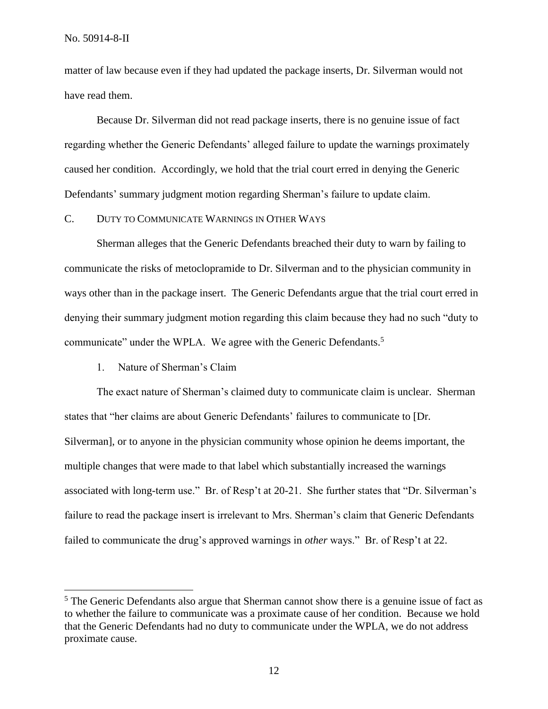No. 50914-8-II

 $\overline{a}$ 

matter of law because even if they had updated the package inserts, Dr. Silverman would not have read them.

Because Dr. Silverman did not read package inserts, there is no genuine issue of fact regarding whether the Generic Defendants' alleged failure to update the warnings proximately caused her condition. Accordingly, we hold that the trial court erred in denying the Generic Defendants' summary judgment motion regarding Sherman's failure to update claim.

# C. DUTY TO COMMUNICATE WARNINGS IN OTHER WAYS

Sherman alleges that the Generic Defendants breached their duty to warn by failing to communicate the risks of metoclopramide to Dr. Silverman and to the physician community in ways other than in the package insert. The Generic Defendants argue that the trial court erred in denying their summary judgment motion regarding this claim because they had no such "duty to communicate" under the WPLA. We agree with the Generic Defendants.<sup>5</sup>

# 1. Nature of Sherman's Claim

The exact nature of Sherman's claimed duty to communicate claim is unclear. Sherman states that "her claims are about Generic Defendants' failures to communicate to [Dr. Silverman], or to anyone in the physician community whose opinion he deems important, the multiple changes that were made to that label which substantially increased the warnings associated with long-term use." Br. of Resp't at 20-21. She further states that "Dr. Silverman's failure to read the package insert is irrelevant to Mrs. Sherman's claim that Generic Defendants failed to communicate the drug's approved warnings in *other* ways." Br. of Resp't at 22.

<sup>&</sup>lt;sup>5</sup> The Generic Defendants also argue that Sherman cannot show there is a genuine issue of fact as to whether the failure to communicate was a proximate cause of her condition. Because we hold that the Generic Defendants had no duty to communicate under the WPLA, we do not address proximate cause.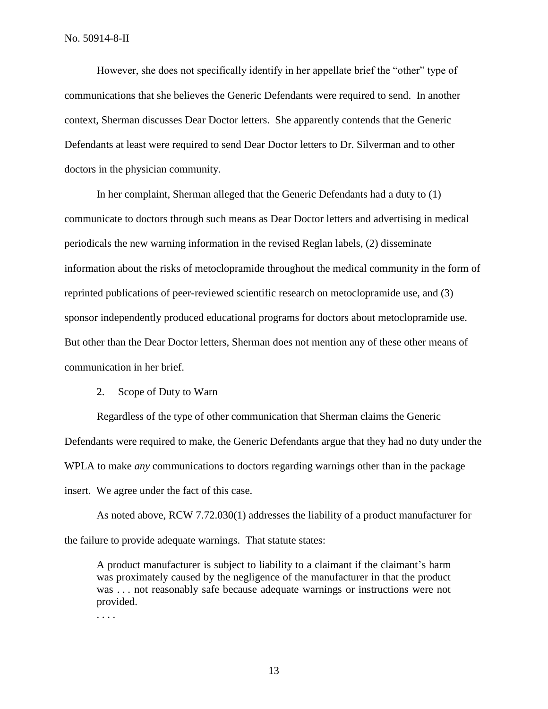However, she does not specifically identify in her appellate brief the "other" type of communications that she believes the Generic Defendants were required to send. In another context, Sherman discusses Dear Doctor letters. She apparently contends that the Generic Defendants at least were required to send Dear Doctor letters to Dr. Silverman and to other doctors in the physician community.

In her complaint, Sherman alleged that the Generic Defendants had a duty to (1) communicate to doctors through such means as Dear Doctor letters and advertising in medical periodicals the new warning information in the revised Reglan labels, (2) disseminate information about the risks of metoclopramide throughout the medical community in the form of reprinted publications of peer-reviewed scientific research on metoclopramide use, and (3) sponsor independently produced educational programs for doctors about metoclopramide use. But other than the Dear Doctor letters, Sherman does not mention any of these other means of communication in her brief.

## 2. Scope of Duty to Warn

Regardless of the type of other communication that Sherman claims the Generic Defendants were required to make, the Generic Defendants argue that they had no duty under the WPLA to make *any* communications to doctors regarding warnings other than in the package insert. We agree under the fact of this case.

As noted above, RCW 7.72.030(1) addresses the liability of a product manufacturer for the failure to provide adequate warnings. That statute states:

A product manufacturer is subject to liability to a claimant if the claimant's harm was proximately caused by the negligence of the manufacturer in that the product was . . . not reasonably safe because adequate warnings or instructions were not provided.

. . . .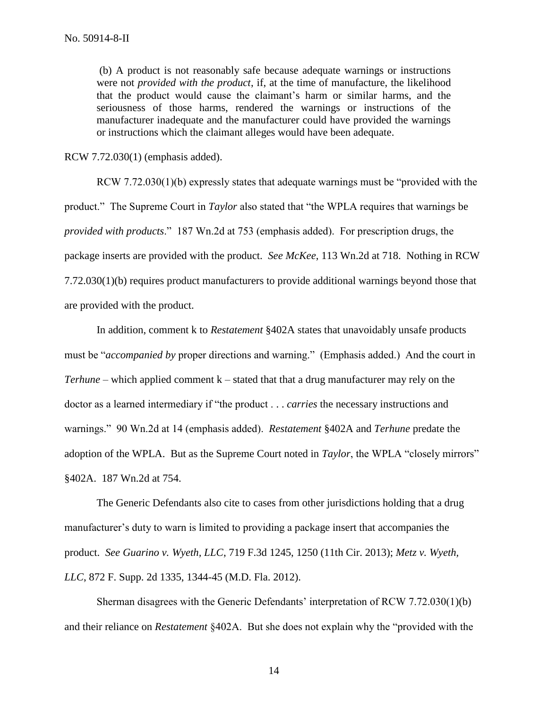(b) A product is not reasonably safe because adequate warnings or instructions were not *provided with the product*, if, at the time of manufacture, the likelihood that the product would cause the claimant's harm or similar harms, and the seriousness of those harms, rendered the warnings or instructions of the manufacturer inadequate and the manufacturer could have provided the warnings or instructions which the claimant alleges would have been adequate.

RCW 7.72.030(1) (emphasis added).

RCW 7.72.030(1)(b) expressly states that adequate warnings must be "provided with the product." The Supreme Court in *Taylor* also stated that "the WPLA requires that warnings be *provided with products*." 187 Wn.2d at 753 (emphasis added). For prescription drugs, the package inserts are provided with the product. *See McKee*, 113 Wn.2d at 718. Nothing in RCW 7.72.030(1)(b) requires product manufacturers to provide additional warnings beyond those that are provided with the product.

In addition, comment k to *Restatement* §402A states that unavoidably unsafe products must be "*accompanied by* proper directions and warning." (Emphasis added.) And the court in *Terhune* – which applied comment k – stated that that a drug manufacturer may rely on the doctor as a learned intermediary if "the product . . . *carries* the necessary instructions and warnings." 90 Wn.2d at 14 (emphasis added). *Restatement* §402A and *Terhune* predate the adoption of the WPLA. But as the Supreme Court noted in *Taylor*, the WPLA "closely mirrors" §402A. 187 Wn.2d at 754.

The Generic Defendants also cite to cases from other jurisdictions holding that a drug manufacturer's duty to warn is limited to providing a package insert that accompanies the product. *See Guarino v. Wyeth, LLC*, 719 F.3d 1245, 1250 (11th Cir. 2013); *Metz v. Wyeth, LLC*, 872 F. Supp. 2d 1335, 1344-45 (M.D. Fla. 2012).

Sherman disagrees with the Generic Defendants' interpretation of RCW 7.72.030(1)(b) and their reliance on *Restatement* §402A. But she does not explain why the "provided with the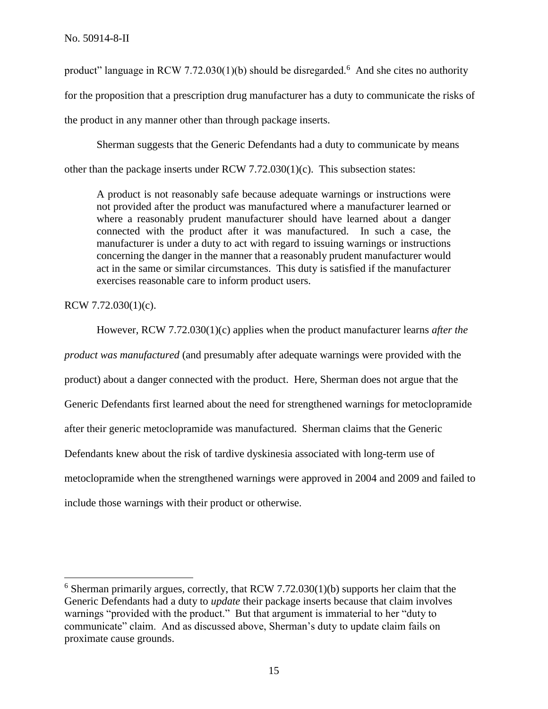product" language in RCW 7.72.030(1)(b) should be disregarded.<sup>6</sup> And she cites no authority for the proposition that a prescription drug manufacturer has a duty to communicate the risks of the product in any manner other than through package inserts.

Sherman suggests that the Generic Defendants had a duty to communicate by means other than the package inserts under RCW 7.72.030(1)(c). This subsection states:

A product is not reasonably safe because adequate warnings or instructions were not provided after the product was manufactured where a manufacturer learned or where a reasonably prudent manufacturer should have learned about a danger connected with the product after it was manufactured. In such a case, the manufacturer is under a duty to act with regard to issuing warnings or instructions concerning the danger in the manner that a reasonably prudent manufacturer would act in the same or similar circumstances. This duty is satisfied if the manufacturer exercises reasonable care to inform product users.

RCW 7.72.030(1)(c).

 $\overline{a}$ 

However, RCW 7.72.030(1)(c) applies when the product manufacturer learns *after the product was manufactured* (and presumably after adequate warnings were provided with the product) about a danger connected with the product. Here, Sherman does not argue that the Generic Defendants first learned about the need for strengthened warnings for metoclopramide after their generic metoclopramide was manufactured. Sherman claims that the Generic Defendants knew about the risk of tardive dyskinesia associated with long-term use of metoclopramide when the strengthened warnings were approved in 2004 and 2009 and failed to include those warnings with their product or otherwise.

 $6$  Sherman primarily argues, correctly, that RCW 7.72.030(1)(b) supports her claim that the Generic Defendants had a duty to *update* their package inserts because that claim involves warnings "provided with the product." But that argument is immaterial to her "duty to communicate" claim. And as discussed above, Sherman's duty to update claim fails on proximate cause grounds.